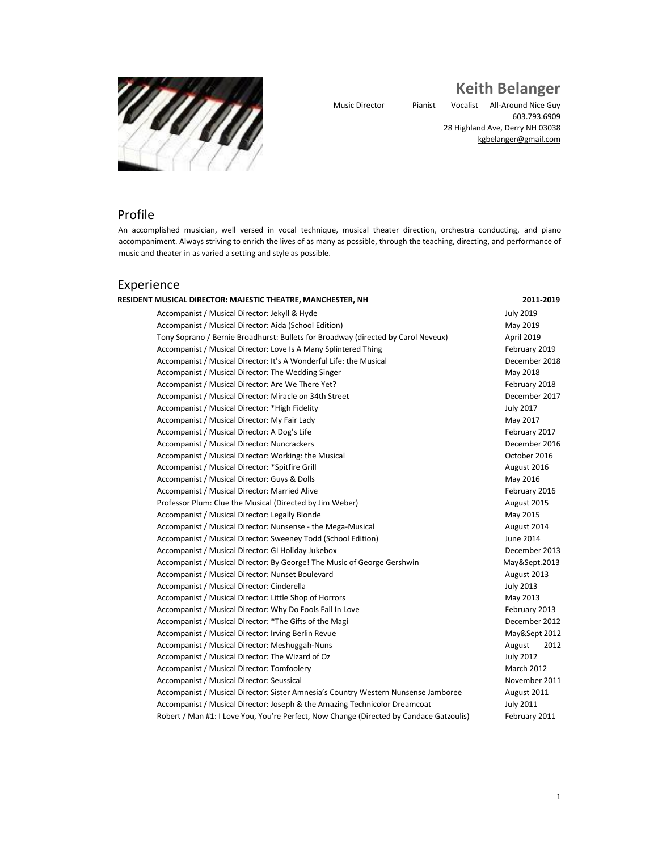

## **Keith Belanger**

Music Director Pianist Vocalist All-Around Nice Guy 603.793.6909 28 Highland Ave, Derry NH 03038 kgbelanger@gmail.com

## Profile

An accomplished musician, well versed in vocal technique, musical theater direction, orchestra conducting, and piano accompaniment. Always striving to enrich the lives of as many as possible, through the teaching, directing, and performance of music and theater in as varied a setting and style as possible.

## Experience

| RESIDENT MUSICAL DIRECTOR: MAJESTIC THEATRE, MANCHESTER, NH                             | 2011-2019         |
|-----------------------------------------------------------------------------------------|-------------------|
| Accompanist / Musical Director: Jekyll & Hyde                                           | <b>July 2019</b>  |
| Accompanist / Musical Director: Aida (School Edition)                                   | May 2019          |
| Tony Soprano / Bernie Broadhurst: Bullets for Broadway (directed by Carol Neveux)       | April 2019        |
| Accompanist / Musical Director: Love Is A Many Splintered Thing                         | February 2019     |
| Accompanist / Musical Director: It's A Wonderful Life: the Musical                      | December 2018     |
| Accompanist / Musical Director: The Wedding Singer                                      | May 2018          |
| Accompanist / Musical Director: Are We There Yet?                                       | February 2018     |
| Accompanist / Musical Director: Miracle on 34th Street                                  | December 2017     |
| Accompanist / Musical Director: * High Fidelity                                         | <b>July 2017</b>  |
| Accompanist / Musical Director: My Fair Lady                                            | May 2017          |
| Accompanist / Musical Director: A Dog's Life                                            | February 2017     |
| Accompanist / Musical Director: Nuncrackers                                             | December 2016     |
| Accompanist / Musical Director: Working: the Musical                                    | October 2016      |
| Accompanist / Musical Director: *Spitfire Grill                                         | August 2016       |
| Accompanist / Musical Director: Guys & Dolls                                            | May 2016          |
| Accompanist / Musical Director: Married Alive                                           | February 2016     |
| Professor Plum: Clue the Musical (Directed by Jim Weber)                                | August 2015       |
| Accompanist / Musical Director: Legally Blonde                                          | May 2015          |
| Accompanist / Musical Director: Nunsense - the Mega-Musical                             | August 2014       |
| Accompanist / Musical Director: Sweeney Todd (School Edition)                           | June 2014         |
| Accompanist / Musical Director: GI Holiday Jukebox                                      | December 2013     |
| Accompanist / Musical Director: By George! The Music of George Gershwin                 | May&Sept.2013     |
| Accompanist / Musical Director: Nunset Boulevard                                        | August 2013       |
| Accompanist / Musical Director: Cinderella                                              | <b>July 2013</b>  |
| Accompanist / Musical Director: Little Shop of Horrors                                  | May 2013          |
| Accompanist / Musical Director: Why Do Fools Fall In Love                               | February 2013     |
| Accompanist / Musical Director: *The Gifts of the Magi                                  | December 2012     |
| Accompanist / Musical Director: Irving Berlin Revue                                     | May&Sept 2012     |
| Accompanist / Musical Director: Meshuggah-Nuns                                          | 2012<br>August    |
| Accompanist / Musical Director: The Wizard of Oz                                        | <b>July 2012</b>  |
| Accompanist / Musical Director: Tomfoolery                                              | <b>March 2012</b> |
| Accompanist / Musical Director: Seussical                                               | November 2011     |
| Accompanist / Musical Director: Sister Amnesia's Country Western Nunsense Jamboree      | August 2011       |
| Accompanist / Musical Director: Joseph & the Amazing Technicolor Dreamcoat              | <b>July 2011</b>  |
| Robert / Man #1: I Love You, You're Perfect, Now Change (Directed by Candace Gatzoulis) | February 2011     |